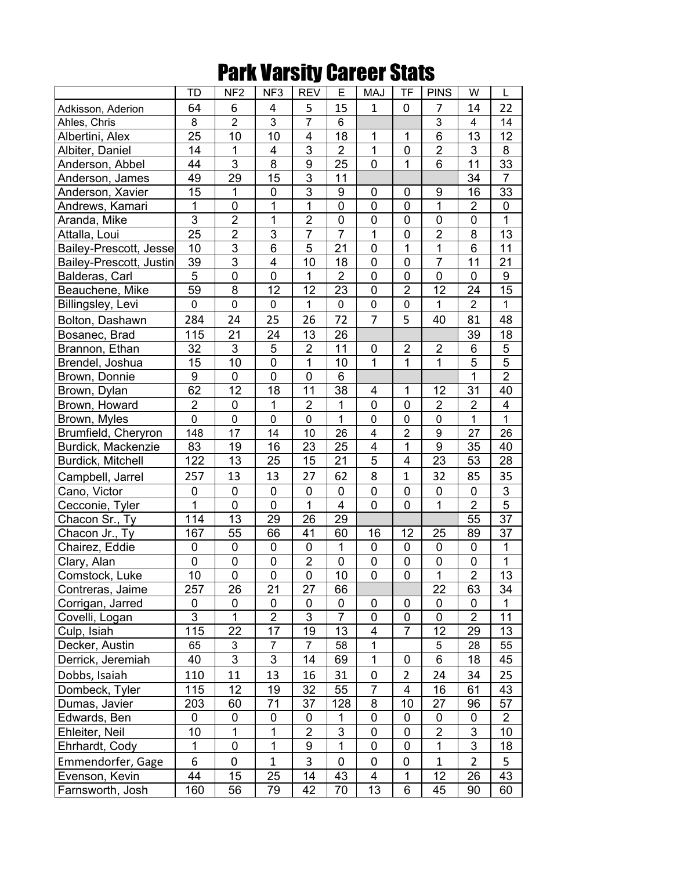## Park Varsity Career Stats

|                         | <b>TD</b>        | NF <sub>2</sub>           | NF <sub>3</sub>         | <b>REV</b>     | Ε              | <b>MAJ</b>              | <b>TF</b>      | <b>PINS</b>    | W              | L                |
|-------------------------|------------------|---------------------------|-------------------------|----------------|----------------|-------------------------|----------------|----------------|----------------|------------------|
| Adkisson, Aderion       | 64               | 6                         | 4                       | 5              | 15             | $\mathbf{1}$            | 0              | 7              | 14             | 22               |
| Ahles, Chris            | 8                | $\overline{2}$            | 3                       | $\overline{7}$ | 6              |                         |                | $\overline{3}$ | $\overline{4}$ | 14               |
| Albertini, Alex         | 25               | 10                        | 10                      | 4              | 18             | 1                       | 1              | $\overline{6}$ | 13             | 12               |
| Albiter, Daniel         | 14               | 1                         | 4                       | $\overline{3}$ | $\overline{2}$ | $\mathbf{1}$            | 0              | $\overline{2}$ | 3              | 8                |
| Anderson, Abbel         | 44               | 3                         | 8                       | $\overline{9}$ | 25             | 0                       | $\overline{1}$ | $\overline{6}$ | 11             | 33               |
| Anderson, James         | 49               | 29                        | 15                      | $\overline{3}$ | 11             |                         |                |                | 34             | $\overline{7}$   |
| Anderson, Xavier        | 15               | $\mathbf 1$               | 0                       | $\overline{3}$ | 9              | 0                       | 0              | 9              | 16             | 33               |
| Andrews, Kamari         | 1                | $\mathbf 0$               | 1                       | 1              | 0              | 0                       | 0              | $\mathbf 1$    | $\overline{2}$ | 0                |
| Aranda, Mike            | $\overline{3}$   | $\overline{2}$            | 1                       | $\overline{2}$ | 0              | 0                       | 0              | $\mathbf 0$    | $\pmb{0}$      | 1                |
| Attalla, Loui           | 25               | $\overline{2}$            | 3                       | $\overline{7}$ | $\overline{7}$ | $\mathbf{1}$            | $\mathbf 0$    | $\overline{2}$ | 8              | 13               |
| Bailey-Prescott, Jesse  | 10               | $\overline{3}$            | 6                       | 5              | 21             | $\mathbf 0$             | 1              | $\overline{1}$ | $6\phantom{1}$ | 11               |
| Bailey-Prescott, Justin | 39               | $\overline{3}$            | $\overline{\mathbf{4}}$ | 10             | 18             | $\mathbf 0$             | $\mathbf 0$    | $\overline{7}$ | 11             | 21               |
| Balderas, Carl          | 5                | $\mathbf 0$               | 0                       | $\mathbf{1}$   | $\overline{2}$ | $\mathbf 0$             | $\pmb{0}$      | $\overline{0}$ | $\mathbf 0$    | $\boldsymbol{9}$ |
| Beauchene, Mike         | 59               | 8                         | 12                      | 12             | 23             | $\mathbf 0$             | $\overline{2}$ | 12             | 24             | 15               |
| Billingsley, Levi       | 0                | $\pmb{0}$                 | 0                       | 1              | 0              | 0                       | 0              | 1              | $\overline{2}$ | 1                |
| Bolton, Dashawn         | 284              | 24                        | 25                      | 26             | 72             | $\overline{7}$          | 5              | 40             | 81             | 48               |
| Bosanec, Brad           | 115              | 21                        | 24                      | 13             | 26             |                         |                |                | 39             | 18               |
| Brannon, Ethan          | 32               | $\ensuremath{\mathsf{3}}$ | 5                       | $\overline{2}$ | 11             | 0                       | $\overline{2}$ | $\overline{2}$ | $\,6$          | 5                |
| Brendel, Joshua         | 15               | 10                        | $\mathbf 0$             | $\mathbf 1$    | 10             | $\mathbf{1}$            | $\mathbf{1}$   | $\overline{1}$ | $\overline{5}$ | 5                |
| Brown, Donnie           | $\boldsymbol{9}$ | $\mathbf 0$               | 0                       | $\mathsf 0$    | 6              |                         |                |                | $\mathbf{1}$   | $\overline{2}$   |
| Brown, Dylan            | 62               | 12                        | 18                      | 11             | 38             | 4                       | 1              | 12             | 31             | 40               |
| Brown, Howard           | $\overline{2}$   | $\pmb{0}$                 | 1                       | $\overline{2}$ | $\mathbf 1$    | 0                       | 0              | $\overline{2}$ | $\overline{2}$ | 4                |
| Brown, Myles            | $\mathbf 0$      | $\mathbf 0$               | 0                       | 0              | $\mathbf{1}$   | 0                       | $\mathbf 0$    | $\mathsf 0$    | $\mathbf{1}$   | $\mathbf{1}$     |
| Brumfield, Cheryron     | 148              | 17                        | 14                      | 10             | 26             | 4                       | $\overline{2}$ | 9              | 27             | 26               |
| Burdick, Mackenzie      | 83               | 19                        | 16                      | 23             | 25             | $\overline{\mathbf{4}}$ | $\mathbf{1}$   | $\overline{9}$ | 35             | 40               |
| Burdick, Mitchell       | 122              | 13                        | 25                      | 15             | 21             | $\overline{5}$          | 4              | 23             | 53             | 28               |
| Campbell, Jarrel        | 257              | 13                        | 13                      | 27             | 62             | 8                       | 1              | 32             | 85             | 35               |
| Cano, Victor            | $\mathbf 0$      | $\mathbf 0$               | 0                       | 0              | 0              | 0                       | 0              | $\mathbf 0$    | $\mathbf 0$    | $\mathbf{3}$     |
| Cecconie, Tyler         | $\overline{1}$   | $\mathbf 0$               | 0                       | $\mathbf{1}$   | 4              | 0                       | $\mathbf 0$    | $\overline{1}$ | $\overline{2}$ | 5                |
| Chacon Sr., Ty          | 114              | 13                        | 29                      | 26             | 29             |                         |                |                | 55             | 37               |
| Chacon Jr., Ty          | 167              | 55                        | 66                      | 41             | 60             | 16                      | 12             | 25             | 89             | 37               |
| Chairez, Eddie          | $\pmb{0}$        | $\mathbf 0$               | $\pmb{0}$               | $\pmb{0}$      | $\mathbf 1$    | $\mathbf 0$             | 0              | $\pmb{0}$      | $\pmb{0}$      | 1                |
| Clary, Alan             | $\mathsf 0$      | $\pmb{0}$                 | $\pmb{0}$               | $\overline{2}$ | $\pmb{0}$      | 0                       | 0              | $\pmb{0}$      | $\pmb{0}$      | 1                |
| Comstock, Luke          | 10               | $\overline{0}$            | $\overline{0}$          | $\overline{0}$ | 10             | $\mathbf 0$             | $\pmb{0}$      | $\overline{1}$ | $\overline{2}$ | 13               |
| Contreras, Jaime        | 257              | 26                        | 21                      | 27             | 66             |                         |                | 22             | 63             | 34               |
| Corrigan, Jarred        | 0                | 0                         | 0                       | 0              | 0              | 0                       | 0              | 0              | $\mathbf 0$    | 1                |
| Covelli, Logan          | 3                | $\mathbf{1}$              | $\overline{2}$          | 3              | $\overline{7}$ | 0                       | 0              | 0              | $\overline{2}$ | 11               |
| Culp, Isiah             | 115              | 22                        | 17                      | 19             | 13             | $\overline{4}$          | $\overline{7}$ | 12             | 29             | 13               |
| Decker, Austin          | 65               | 3                         | $\overline{7}$          | $\overline{7}$ | 58             | $\mathbf{1}$            |                | 5              | 28             | 55               |
| Derrick, Jeremiah       | 40               | 3                         | 3                       | 14             | 69             | $\mathbf{1}$            | 0              | $\,6$          | 18             | 45               |
| Dobbs, Isaiah           | 110              | 11                        | 13                      | 16             | 31             | $\pmb{0}$               | $\overline{2}$ | 24             | 34             | 25               |
| Dombeck, Tyler          | 115              | 12                        | 19                      | 32             | 55             | $\overline{7}$          | 4              | 16             | 61             | 43               |
| Dumas, Javier           | 203              | 60                        | 71                      | 37             | 128            | 8                       | 10             | 27             | 96             | 57               |
| Edwards, Ben            | 0                | 0                         | 0                       | 0              | 1              | 0                       | 0              | $\pmb{0}$      | 0              | $\overline{2}$   |
| Ehleiter, Neil          | 10               | 1                         | 1                       | $\overline{2}$ | $\overline{3}$ | 0                       | 0              | $\overline{2}$ | 3              | 10               |
| Ehrhardt, Cody          | $\mathbf 1$      | 0                         | 1                       | 9              | 1              | 0                       | 0              | 1              | 3              | 18               |
| Emmendorfer, Gage       | 6                | 0                         | $\mathbf{1}$            | 3              | 0              | $\mathbf 0$             | $\pmb{0}$      | $\mathbf{1}$   | $\overline{2}$ | 5                |
| Evenson, Kevin          | 44               | 15                        | 25                      | 14             | 43             | $\overline{4}$          | 1              | 12             | 26             | 43               |
| Farnsworth, Josh        | 160              | 56                        | 79                      | 42             | 70             | 13                      | 6              | 45             | 90             | 60               |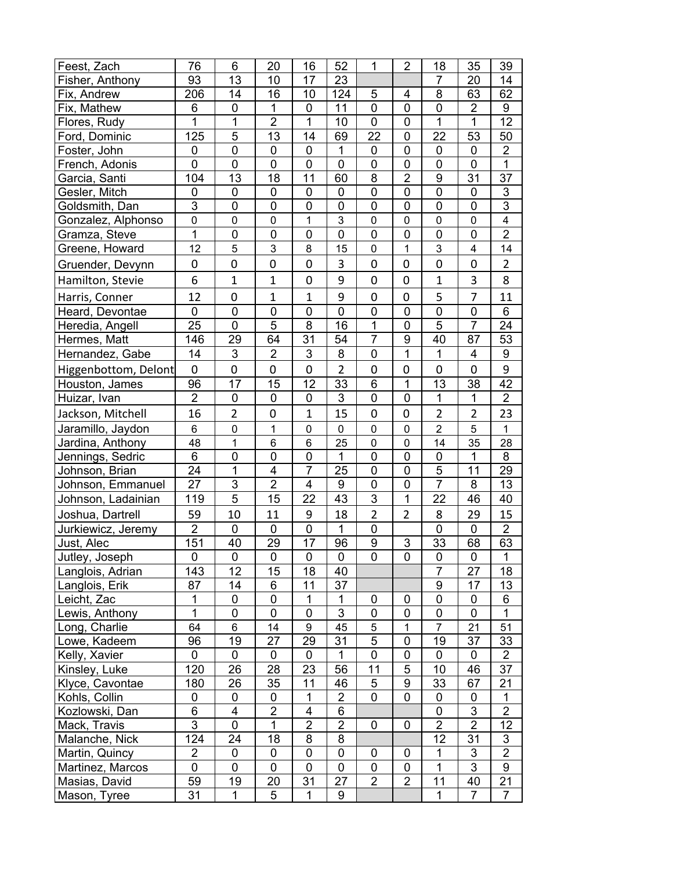| Feest, Zach          | 76             | 6              | 20                      | 16             | 52               | 1              | $\overline{2}$          | 18             | 35             | 39                      |
|----------------------|----------------|----------------|-------------------------|----------------|------------------|----------------|-------------------------|----------------|----------------|-------------------------|
| Fisher, Anthony      | 93             | 13             | 10                      | 17             | 23               |                |                         | 7              | 20             | 14                      |
| Fix, Andrew          | 206            | 14             | 16                      | 10             | 124              | 5              | $\overline{\mathbf{4}}$ | 8              | 63             | 62                      |
| Fix, Mathew          | 6              | $\mathbf 0$    | 1                       | 0              | 11               | $\mathbf 0$    | $\mathbf 0$             | 0              | $\overline{2}$ | $\boldsymbol{9}$        |
| Flores, Rudy         | 1              | $\mathbf{1}$   | $\overline{2}$          | $\mathbf{1}$   | 10               | 0              | $\mathbf 0$             | $\overline{1}$ | $\mathbf 1$    | 12                      |
| Ford, Dominic        | 125            | 5              | 13                      | 14             | 69               | 22             | $\mathbf 0$             | 22             | 53             | 50                      |
| Foster, John         | 0              | $\mathsf 0$    | $\pmb{0}$               | 0              | 1                | $\pmb{0}$      | $\mathbf 0$             | $\mathbf 0$    | $\pmb{0}$      | $\overline{2}$          |
| French, Adonis       | $\mathbf 0$    | $\mathbf 0$    | $\mathbf 0$             | 0              | $\mathbf 0$      | $\mathbf 0$    | $\mathbf 0$             | $\mathbf 0$    | $\mathbf 0$    | $\mathbf{1}$            |
| Garcia, Santi        | 104            | 13             | 18                      | 11             | 60               | 8              | $\overline{2}$          | $\overline{9}$ | 31             | 37                      |
| Gesler, Mitch        | 0              | $\pmb{0}$      | $\pmb{0}$               | 0              | $\mathbf 0$      | $\mathbf 0$    | $\mathbf 0$             | $\overline{0}$ | $\pmb{0}$      | $\mathsf 3$             |
| Goldsmith, Dan       | $\overline{3}$ | 0              | 0                       | 0              | $\mathbf 0$      | $\pmb{0}$      | $\mathbf 0$             | $\mathbf 0$    | $\pmb{0}$      | $\overline{3}$          |
| Gonzalez, Alphonso   | $\mathsf 0$    | $\mathbf 0$    | 0                       | $\mathbf{1}$   | 3                | $\mathbf 0$    | $\mathbf 0$             | $\mathbf 0$    | 0              | $\overline{\mathbf{4}}$ |
| Gramza, Steve        | 1              | $\mathbf 0$    | 0                       | 0              | $\overline{0}$   | $\mathbf 0$    | $\mathbf 0$             | 0              | 0              | $\overline{2}$          |
| Greene, Howard       | 12             | 5              | 3                       | 8              | 15               | $\overline{0}$ | $\mathbf 1$             | $\overline{3}$ | 4              | 14                      |
| Gruender, Devynn     | 0              | 0              | 0                       | 0              | 3                | $\mathbf 0$    | 0                       | 0              | 0              | 2                       |
| Hamilton, Stevie     | 6              | $\mathbf{1}$   | $\mathbf{1}$            | 0              | 9                | $\mathbf 0$    | 0                       | $\mathbf{1}$   | 3              | 8                       |
| Harris, Conner       | 12             | $\mathbf 0$    | $\mathbf{1}$            | $\mathbf{1}$   | 9                | $\mathbf 0$    | 0                       | 5              | $\overline{7}$ | 11                      |
| Heard, Devontae      | 0              | $\mathbf 0$    | $\pmb{0}$               | 0              | $\mathbf 0$      | $\pmb{0}$      | $\mathbf 0$             | $\mathbf 0$    | $\pmb{0}$      | 6                       |
| Heredia, Angell      | 25             | $\overline{0}$ | 5                       | 8              | 16               | $\mathbf{1}$   | $\overline{0}$          | 5              | $\overline{7}$ | 24                      |
| Hermes, Matt         | 146            | 29             | 64                      | 31             | 54               | $\overline{7}$ | 9                       | 40             | 87             | 53                      |
| Hernandez, Gabe      | 14             | 3              | $\overline{2}$          | 3              | 8                | $\mathbf 0$    | 1                       | $\overline{1}$ | 4              | $\boldsymbol{9}$        |
| Higgenbottom, Delont | 0              | $\mathbf 0$    | 0                       | 0              | $\overline{2}$   | $\mathbf 0$    | 0                       | 0              | 0              | 9                       |
| Houston, James       | 96             | 17             | 15                      | 12             | 33               | $\,6$          | 1                       | 13             | 38             | 42                      |
| Huizar, Ivan         | $\overline{2}$ | $\mathbf 0$    | $\mathbf 0$             | 0              | 3                | $\mathbf 0$    | $\mathbf 0$             | $\mathbf{1}$   | 1              | $\overline{2}$          |
| Jackson, Mitchell    | 16             | $\overline{2}$ | 0                       | $\mathbf{1}$   | 15               | $\mathbf 0$    | $\boldsymbol{0}$        | $\overline{2}$ | $\overline{2}$ | 23                      |
| Jaramillo, Jaydon    | 6              | $\pmb{0}$      | 1                       | 0              | $\pmb{0}$        | $\pmb{0}$      | $\pmb{0}$               | $\overline{2}$ | 5              | 1                       |
| Jardina, Anthony     | 48             | $\mathbf 1$    | 6                       | 6              | 25               | $\mathbf 0$    | $\pmb{0}$               | 14             | 35             | 28                      |
| Jennings, Sedric     | 6              | $\mathbf 0$    | 0                       | 0              | 1                | $\mathbf 0$    | $\mathbf 0$             | $\pmb{0}$      | 1              | 8                       |
| Johnson, Brian       | 24             | 1              | $\overline{\mathbf{4}}$ | $\overline{7}$ | 25               | $\mathbf 0$    | $\mathbf 0$             | $\overline{5}$ | 11             | 29                      |
| Johnson, Emmanuel    | 27             | 3              | $\overline{2}$          | 4              | $\boldsymbol{9}$ | $\mathbf 0$    | $\mathbf 0$             | $\overline{7}$ | 8              | 13                      |
| Johnson, Ladainian   | 119            | 5              | 15                      | 22             | 43               | 3              | 1                       | 22             | 46             | 40                      |
| Joshua, Dartrell     | 59             | 10             | 11                      | 9              | 18               | $\overline{2}$ | $\overline{2}$          | 8              | 29             | 15                      |
| Jurkiewicz, Jeremy   | $\overline{2}$ | $\pmb{0}$      | 0                       | 0              | 1                | $\pmb{0}$      |                         | 0              | 0              | $\overline{2}$          |
| Just, Alec           | 151            | 40             | 29                      | 17             | 96               | 9              | 3                       | 33             | 68             | 63                      |
| Jutley, Joseph       | 0              | 0              | 0                       | 0              | 0                | 0              | $\mathbf 0$             | 0              | 0              | 1                       |
| Langlois, Adrian     | 143            | 12             | 15                      | 18             | 40               |                |                         | $\overline{7}$ | 27             | 18                      |
| Langlois, Erik       | 87             | 14             | 6                       | 11             | 37               |                |                         | 9              | 17             | 13                      |
| Leicht, Zac          | 1              | $\mathbf 0$    | 0                       | 1              | 1                | 0              | $\mathbf 0$             | $\mathbf 0$    | $\pmb{0}$      | 6                       |
| Lewis, Anthony       | 1              | 0              | 0                       | 0              | $\mathbf{3}$     | 0              | 0                       | 0              | 0              | 1                       |
| Long, Charlie        | 64             | 6              | 14                      | 9              | 45               | 5              | 1                       | $\overline{7}$ | 21             | 51                      |
| Lowe, Kadeem         | 96             | 19             | 27                      | 29             | 31               | 5              | 0                       | 19             | 37             | 33                      |
| Kelly, Xavier        | 0              | $\mathbf 0$    | $\mathbf 0$             | 0              | $\mathbf{1}$     | $\mathbf 0$    | $\mathbf 0$             | 0              | 0              | $\overline{2}$          |
| Kinsley, Luke        | 120            | 26             | 28                      | 23             | 56               | 11             | 5                       | 10             | 46             | 37                      |
| Klyce, Cavontae      | 180            | 26             | 35                      | 11             | 46               | 5              | $\overline{9}$          | 33             | 67             | 21                      |
| Kohls, Collin        | 0              | 0              | 0                       | 1              | $\overline{2}$   | $\mathbf 0$    | $\mathbf 0$             | $\pmb{0}$      | 0              | 1                       |
| Kozlowski, Dan       | 6              | 4              | $\overline{2}$          | 4              | 6                |                |                         | 0              | 3              | $\overline{2}$          |
| Mack, Travis         | $\overline{3}$ | 0              | 1                       | $\overline{2}$ | $\overline{2}$   | 0              | 0                       | $\overline{2}$ | $\overline{2}$ | 12                      |
| Malanche, Nick       | 124            | 24             | 18                      | 8              | 8                |                |                         | 12             | 31             | 3                       |
| Martin, Quincy       | $\overline{2}$ | 0              | 0                       | 0              | 0                | 0              | 0                       | 1              | $\mathfrak{S}$ | $\overline{2}$          |
| Martinez, Marcos     | 0              | 0              | 0                       | 0              | $\mathbf 0$      | $\mathbf 0$    | $\mathbf 0$             | $\mathbf{1}$   | 3              | 9                       |
| Masias, David        | 59             | 19             | 20                      | 31             | 27               | $\overline{2}$ | $\overline{2}$          | 11             | 40             | 21                      |
| Mason, Tyree         | 31             | $\mathbf{1}$   | 5                       | 1              | 9                |                |                         | 1              | 7              | $\overline{7}$          |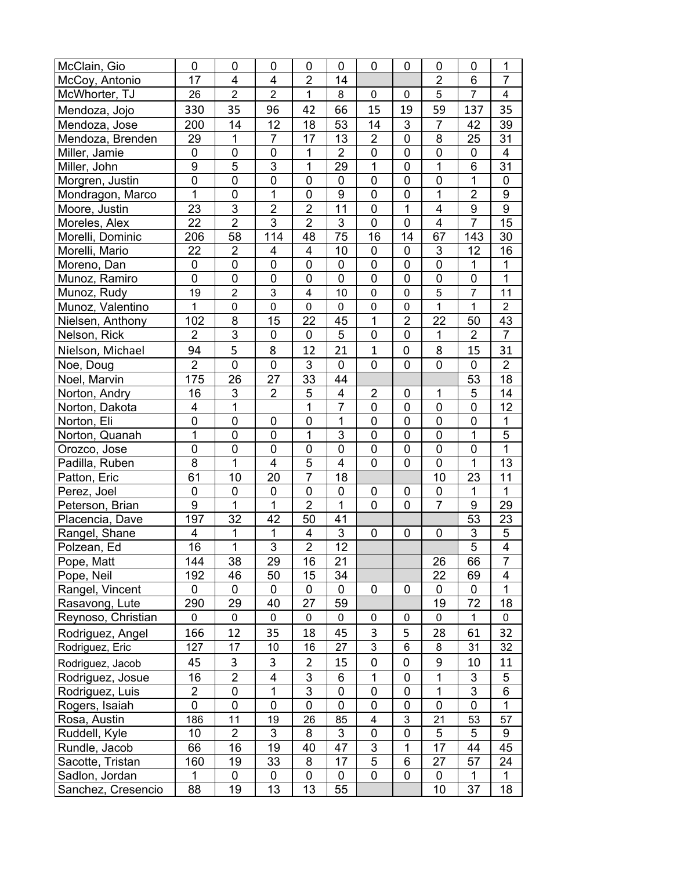| McClain, Gio       | 0              | $\mathbf 0$    | $\mathbf 0$             | 0              | $\mathbf 0$             | $\mathbf 0$         | 0                         | 0                       | $\mathbf 0$      | $\mathbf 1$             |
|--------------------|----------------|----------------|-------------------------|----------------|-------------------------|---------------------|---------------------------|-------------------------|------------------|-------------------------|
| McCoy, Antonio     | 17             | 4              | 4                       | $\overline{2}$ | 14                      |                     |                           | $\overline{2}$          | 6                | $\overline{7}$          |
| McWhorter, TJ      | 26             | $\overline{2}$ | $\overline{2}$          | $\mathbf{1}$   | 8                       | $\mathbf 0$         | $\mathbf 0$               | 5                       | $\overline{7}$   | $\overline{\mathbf{4}}$ |
| Mendoza, Jojo      | 330            | 35             | 96                      | 42             | 66                      | 15                  | 19                        | 59                      | 137              | 35                      |
| Mendoza, Jose      | 200            | 14             | 12                      | 18             | 53                      | 14                  | $\ensuremath{\mathsf{3}}$ | 7                       | 42               | 39                      |
| Mendoza, Brenden   | 29             | $\mathbf 1$    | $\overline{7}$          | 17             | 13                      | $\overline{2}$      | $\pmb{0}$                 | 8                       | 25               | 31                      |
| Miller, Jamie      | 0              | $\pmb{0}$      | $\pmb{0}$               | $\mathbf 1$    | $\overline{2}$          | $\pmb{0}$           | $\mathbf 0$               | $\mathsf 0$             | $\pmb{0}$        | 4                       |
| Miller, John       | $\overline{9}$ | 5              | $\overline{3}$          | $\mathbf{1}$   | 29                      | $\overline{1}$      | $\mathbf 0$               | $\mathbf 1$             | 6                | 31                      |
| Morgren, Justin    | $\overline{0}$ | $\mathbf 0$    | $\mathbf 0$             | 0              | $\mathbf 0$             | $\mathbf 0$         | $\mathbf 0$               | $\overline{0}$          | $\mathbf 1$      | 0                       |
| Mondragon, Marco   | $\overline{1}$ | $\mathbf 0$    | $\overline{1}$          | $\mathbf 0$    | 9                       | $\mathbf 0$         | $\mathbf 0$               | $\overline{1}$          | $\overline{2}$   | $\boldsymbol{9}$        |
| Moore, Justin      | 23             | $\overline{3}$ | $\overline{2}$          | $\overline{2}$ | $\overline{11}$         | $\mathbf 0$         | 1                         | 4                       | $\overline{9}$   | $\boldsymbol{9}$        |
| Moreles, Alex      | 22             | $\overline{2}$ | $\overline{3}$          | $\overline{2}$ | 3                       | $\mathbf 0$         | $\mathbf 0$               | $\overline{\mathbf{4}}$ | $\overline{7}$   | 15                      |
| Morelli, Dominic   | 206            | 58             | 114                     | 48             | 75                      | 16                  | 14                        | 67                      | 143              | 30                      |
| Morelli, Mario     | 22             | $\overline{2}$ | 4                       | 4              | 10                      | $\mathbf 0$         | $\mathbf 0$               | $\mathsf 3$             | 12               | 16                      |
| Moreno, Dan        | 0              | $\pmb{0}$      | $\pmb{0}$               | 0              | $\pmb{0}$               | $\mathsf{O}\xspace$ | $\mathbf 0$               | $\mathsf 0$             | 1                | 1                       |
| Munoz, Ramiro      | $\mathbf 0$    | $\mathbf 0$    | $\mathbf 0$             | 0              | $\overline{0}$          | $\mathbf 0$         | $\mathbf 0$               | $\overline{0}$          | 0                | $\overline{1}$          |
| Munoz, Rudy        | 19             | $\overline{2}$ | 3                       | 4              | 10                      | $\mathbf 0$         | $\mathbf 0$               | $\overline{5}$          | $\overline{7}$   | 11                      |
| Munoz, Valentino   | $\mathbf{1}$   | $\mathbf 0$    | $\mathbf 0$             | 0              | $\mathbf 0$             | $\mathbf 0$         | $\mathbf 0$               | $\overline{1}$          | $\mathbf{1}$     | $\overline{2}$          |
| Nielsen, Anthony   | 102            | 8              | 15                      | 22             | 45                      | $\mathbf 1$         | $\overline{2}$            | 22                      | 50               | 43                      |
| Nelson, Rick       | $\overline{2}$ | $\overline{3}$ | $\mathbf 0$             | 0              | 5                       | $\mathbf 0$         | $\mathbf 0$               | $\mathbf 1$             | $\overline{2}$   | $\overline{7}$          |
| Nielson, Michael   | 94             | 5              | 8                       | 12             | 21                      | $\mathbf{1}$        | 0                         | 8                       | 15               | 31                      |
| Noe, Doug          | $\overline{2}$ | $\mathbf 0$    | 0                       | 3              | $\mathbf 0$             | $\overline{0}$      | $\mathbf 0$               | 0                       | 0                | $\overline{2}$          |
| Noel, Marvin       | 175            | 26             | 27                      | 33             | 44                      |                     |                           |                         | 53               | 18                      |
| Norton, Andry      | 16             | 3              | $\overline{2}$          | 5              | $\overline{\mathbf{4}}$ | $\overline{2}$      | $\mathbf 0$               | $\mathbf 1$             | 5                | 14                      |
| Norton, Dakota     | 4              | $\mathbf{1}$   |                         | $\mathbf{1}$   | $\overline{7}$          | $\mathbf 0$         | $\mathbf 0$               | $\overline{0}$          | $\mathbf 0$      | 12                      |
| Norton, Eli        | $\mathbf 0$    | $\mathbf 0$    | $\pmb{0}$               | $\mathsf 0$    | 1                       | $\mathbf 0$         | $\pmb{0}$                 | 0                       | 0                | $\mathbf 1$             |
| Norton, Quanah     | $\overline{1}$ | $\mathbf 0$    | $\mathbf 0$             | 1              | $\overline{3}$          | $\mathbf 0$         | $\mathbf 0$               | $\mathbf 0$             | 1                | $\overline{5}$          |
| Orozco, Jose       | $\mathsf 0$    | 0              | $\pmb{0}$               | 0              | $\mathbf 0$             | $\pmb{0}$           | $\mathbf 0$               | $\mathsf 0$             | $\pmb{0}$        | $\overline{1}$          |
| Padilla, Ruben     | 8              | $\mathbf{1}$   | $\overline{\mathbf{4}}$ | 5              | $\overline{\mathbf{4}}$ | $\mathbf 0$         | $\mathbf 0$               | $\overline{0}$          | $\mathbf{1}$     | 13                      |
| Patton, Eric       | 61             | 10             | 20                      | $\overline{7}$ | 18                      |                     |                           | 10                      | 23               | 11                      |
| Perez, Joel        | $\mathbf 0$    | 0              | $\mathsf 0$             | $\mathsf 0$    | $\mathbf 0$             | $\mathbf 0$         | $\mathbf 0$               | $\mathsf 0$             | 1                | $\mathbf{1}$            |
| Peterson, Brian    | $\overline{9}$ | $\overline{1}$ | $\overline{1}$          | $\overline{2}$ | 1                       | $\overline{0}$      | $\overline{0}$            | $\overline{7}$          | $\boldsymbol{9}$ | 29                      |
| Placencia, Dave    | 197            | 32             | 42                      | 50             | 41                      |                     |                           |                         | 53               | 23                      |
| Rangel, Shane      | 4              | $\mathbf 1$    | 1                       | 4              | $\overline{3}$          | $\mathbf 0$         | $\mathbf 0$               | 0                       | $\mathbf{3}$     | 5                       |
| Polzean, Ed        | 16             | $\overline{1}$ | $\overline{3}$          | $\overline{2}$ | 12                      |                     |                           |                         | $\overline{5}$   | $\overline{4}$          |
| Pope, Matt         | 144            | 38             | 29                      | 16             | 21                      |                     |                           | 26                      | 66               | 7                       |
| Pope, Neil         | 192            | 46             | 50                      | 15             | 34                      |                     |                           | 22                      | 69               | 4                       |
| Rangel, Vincent    | 0              | 0              | 0                       | 0              | $\mathbf 0$             | 0                   | $\mathbf 0$               | 0                       | 0                | 1                       |
| Rasavong, Lute     | 290            | 29             | 40                      | 27             | 59                      |                     |                           | 19                      | 72               | 18                      |
| Reynoso, Christian | 0              | $\mathbf 0$    | 0                       | 0              | 0                       | 0                   | 0                         | 0                       | 1                | 0                       |
| Rodriguez, Angel   | 166            | 12             | 35                      | 18             | 45                      | 3                   | 5                         | 28                      | 61               | 32                      |
| Rodriguez, Eric    | 127            | 17             | 10                      | 16             | 27                      | $\overline{3}$      | 6                         | 8                       | 31               | 32                      |
| Rodriguez, Jacob   | 45             | 3              | 3                       | 2              | 15                      | $\mathbf 0$         | 0                         | 9                       | 10               | 11                      |
| Rodriguez, Josue   | 16             | $\overline{2}$ | $\overline{\mathbf{4}}$ | 3              | 6                       | 1                   | $\mathbf 0$               | $\mathbf 1$             | 3                | 5                       |
| Rodriguez, Luis    | $\overline{2}$ | 0              | 1                       | 3              | 0                       | $\pmb{0}$           | 0                         | 1                       | 3                | 6                       |
| Rogers, Isaiah     | 0              | $\mathbf 0$    | $\mathbf 0$             | 0              | 0                       | $\mathbf 0$         | 0                         | 0                       | 0                | 1                       |
| Rosa, Austin       | 186            | 11             | 19                      | 26             | 85                      | 4                   | $\ensuremath{\mathsf{3}}$ | 21                      | 53               | 57                      |
| Ruddell, Kyle      | 10             | $\overline{2}$ | 3                       | 8              | 3                       | $\mathbf 0$         | $\mathbf 0$               | 5                       | 5                | 9                       |
| Rundle, Jacob      | 66             | 16             | 19                      | 40             | 47                      | 3                   | 1                         | 17                      | 44               | 45                      |
| Sacotte, Tristan   | 160            | 19             | 33                      | 8              | 17                      | 5                   | $6\phantom{1}6$           | 27                      | 57               | 24                      |
| Sadlon, Jordan     | 1              | 0              | 0                       | 0              | 0                       | $\mathbf 0$         | 0                         | 0                       | $\mathbf 1$      | 1                       |
| Sanchez, Cresencio | 88             | 19             | 13                      | 13             | 55                      |                     |                           | 10                      | 37               | 18                      |